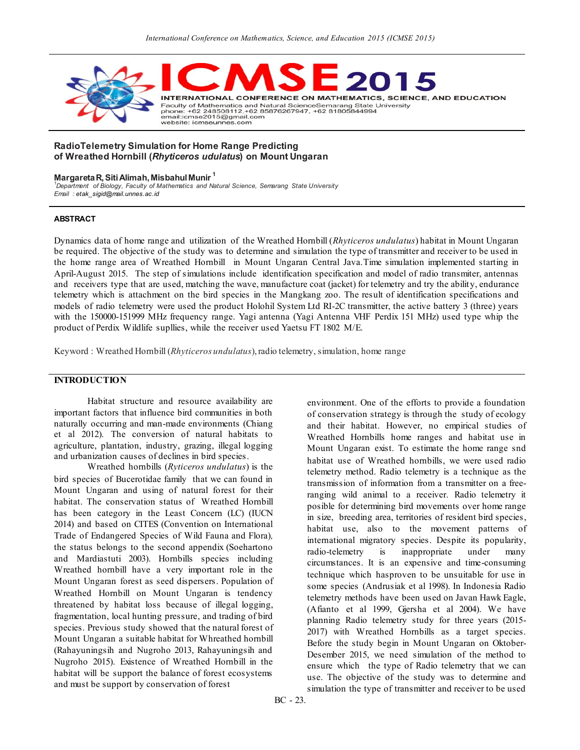

#### **RadioTelemetry Simulation for Home Range Predicting of Wreathed Hornbill (***Rhyticeros udulatus***) on Mount Ungaran**

#### **Margareta R, Siti Alimah, Misbahul Munir <sup>1</sup>**

*1 Department of Biology, Faculty of Mathematics and Natural Science, Semarang State University Email [: etak\\_sigid@mail.unnes.ac.id](mailto:etak_sigid@mail.unnes.ac.id)*

#### **ABSTRACT**

Dynamics data of home range and utilization of the Wreathed Hornbill (*Rhyticeros undulatus*) habitat in Mount Ungaran be required. The objective of the study was to determine and simulation the type of transmitter and receiver to be used in the home range area of Wreathed Hornbill in Mount Ungaran Central Java.Time simulation implemented starting in April-August 2015. The step of simulations include identification specification and model of radio transmiter, antennas and receivers type that are used, matching the wave, manufacture coat (jacket) for telemetry and try the ability, endurance telemetry which is attachment on the bird species in the Mangkang zoo. The result of identification specifications and models of radio telemetry were used the product Holohil System Ltd RI-2C transmitter, the active battery 3 (three) years with the 150000-151999 MHz frequency range. Yagi antenna (Yagi Antenna VHF Perdix 151 MHz) used type whip the product of Perdix Wildlife supllies, while the receiver used Yaetsu FT 1802 M/E.

Keyword : Wreathed Hornbill (*Rhyticeros undulatus*), radio telemetry, simulation, home range

## **INTRODUCTION**

Habitat structure and resource availability are important factors that influence bird communities in both naturally occurring and man-made environments (Chiang et al 2012). The conversion of natural habitats to agriculture, plantation, industry, grazing, illegal logging and urbanization causes of declines in bird species.

Wreathed hornbills (*Ryticeros undulatus*) is the bird species of Bucerotidae family that we can found in Mount Ungaran and using of natural forest for their habitat. The conservation status of Wreathed Hornbill has been category in the Least Concern (LC) (IUCN 2014) and based on CITES (Convention on International Trade of Endangered Species of Wild Fauna and Flora)*,* the status belongs to the second appendix (Soehartono and Mardiastuti 2003). Hornbills species including Wreathed hornbill have a very important role in the Mount Ungaran forest as seed dispersers. Population of Wreathed Hornbill on Mount Ungaran is tendency threatened by habitat loss because of illegal logging, fragmentation, local hunting pressure, and trading of bird species. Previous study showed that the natural forest of Mount Ungaran a suitable habitat for Whreathed hornbill (Rahayuningsih and Nugroho 2013, Rahayuningsih and Nugroho 2015). Existence of Wreathed Hornbill in the habitat will be support the balance of forest ecosystems and must be support by conservation of forest

environment. One of the efforts to provide a foundation of conservation strategy is through the study of ecology and their habitat. However, no empirical studies of Wreathed Hornbills home ranges and habitat use in Mount Ungaran exist. To estimate the home range snd habitat use of Wreathed hornbills, we were used radio telemetry method. Radio telemetry is a technique as the transmission of information from a transmitter on a freeranging wild animal to a receiver. Radio telemetry it posible for determining bird movements over home range in size, breeding area, territories of resident bird species, habitat use, also to the movement patterns of international migratory species. Despite its popularity, radio-telemetry is inappropriate under many circumstances. It is an expensive and time-consuming technique which hasproven to be unsuitable for use in some species (Andrusiak et al 1998). In Indonesia Radio telemetry methods have been used on Javan Hawk Eagle, (Afianto et al 1999, Gjersha et al 2004). We have planning Radio telemetry study for three years (2015- 2017) with Wreathed Hornbills as a target species. Before the study begin in Mount Ungaran on Oktober-Desember 2015, we need simulation of the method to ensure which the type of Radio telemetry that we can use. The objective of the study was to determine and simulation the type of transmitter and receiver to be used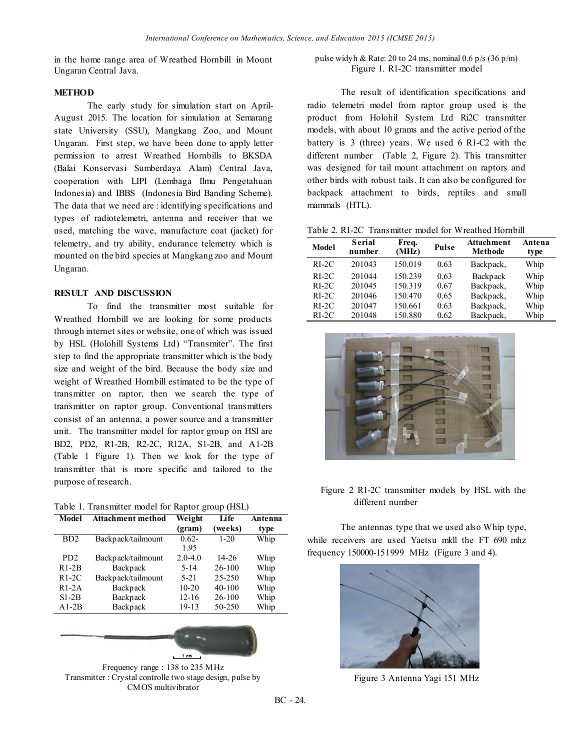in the home range area of Wreathed Hornbill in Mount Ungaran Central Java.

### **METHOD**

The early study for simulation start on April-August 2015. The location for simulation at Semarang state University (SSU), Mangkang Zoo, and Mount Ungaran. First step, we have been done to apply letter permission to arrest Wreathed Hornbills to BKSDA (Balai Konservasi Sumberdaya Alam) Central Java, cooperation with LIPI (Lembaga Ilmu Pengetahuan Indonesia) and IBBS (Indonesia Bird Banding Scheme). The data that we need are : identifying specifications and types of radiotelemetri, antenna and receiver that we used, matching the wave, manufacture coat (jacket) for telemetry, and try ability, endurance telemetry which is mounted on the bird species at Mangkang zoo and Mount Ungaran.

### **RESULT AND DISCUSSION**

To find the transmitter most suitable for Wreathed Hornbill we are looking for some products through internet sites or website, one of which was issued by HSL (Holohill Systems Ltd) "Transmiter". The first step to find the appropriate transmitter which is the body size and weight of the bird. Because the body size and weight of Wreathed Hornbill estimated to be the type of transmitter on raptor, then we search the type of transmitter on raptor group. Conventional transmitters consist of an antenna, a power source and a transmitter unit. The transmitter model for raptor group on HSl are BD2, PD2, R1-2B, R2-2C, R12A, S1-2B, and A1-2B (Table 1 Figure 1). Then we look for the type of transmitter that is more specific and tailored to the purpose of research.

|  |  | Table 1. Transmitter model for Raptor group (HSL) |  |  |  |  |  |
|--|--|---------------------------------------------------|--|--|--|--|--|
|--|--|---------------------------------------------------|--|--|--|--|--|

| Model            | <b>Attachment method</b> | Weight<br>(gram) | Life<br>(weeks) | Antenna<br>type |
|------------------|--------------------------|------------------|-----------------|-----------------|
| B <sub>D</sub> 2 | Backpack/tailmount       | $0.62 -$<br>1.95 | $1 - 20$        | Whip            |
| PD <sub>2</sub>  | Backpack/tailmount       | $2.0 - 4.0$      | 14-26           | Whip            |
| $R1-2B$          | Backpack                 | $5 - 14$         | $26-100$        | Whip            |
| $R1-2C$          | Backpack/tailmount       | $5-21$           | $25 - 250$      | Whip            |
| $R1-2A$          | Backpack                 | $10-20$          | 40-100          | Whip            |
| $S1-2B$          | Backpack                 | $12 - 16$        | $26 - 100$      | Whip            |
| $A1-2B$          | Backpack                 | 19-13            | 50-250          | Whip            |



### pulse widyh & Rate: 20 to 24 ms, nominal 0.6 p/s  $(36 \text{ p/m})$ Figure 1. R1-2C transmitter model

The result of identification specifications and radio telemetri model from raptor group used is the product from Holohil System Ltd Ri2C transmitter models, with about 10 grams and the active period of the battery is 3 (three) years. We used 6 R1-C2 with the different number (Table 2, Figure 2). This transmitter was designed for tail mount attachment on raptors and other birds with robust tails. It can also be configured for backpack attachment to birds, reptiles and small mammals (HTL).

Table 2. R1-2C Transmitter model for Wreathed Hornbill

| Model   | <b>Serial</b><br>number | Freq.<br>(MHz) | Pulse | <b>Attachment</b><br><b>Methode</b> | Antena<br>type |
|---------|-------------------------|----------------|-------|-------------------------------------|----------------|
| $RI-2C$ | 201043                  | 150.019        | 0.63  | Backpack,                           | Whip           |
| $RI-2C$ | 201044                  | 150.239        | 0.63  | Backpack                            | Whip           |
| $RI-2C$ | 201045                  | 150.319        | 0.67  | Backpack,                           | Whip           |
| $RI-2C$ | 201046                  | 150.470        | 0.65  | Backpack,                           | Whip           |
| $RI-2C$ | 201047                  | 150.661        | 0.63  | Backpack,                           | Whip           |
| $RI-2C$ | 201048                  | 150.880        | 0.62  | Backpack,                           | Whip           |



Figure 2 R1-2C transmitter models by HSL with the different number

The antennas type that we used also Whip type, while receivers are used Yaetsu mkll the FT 690 mhz frequency 150000-151999 MHz (Figure 3 and 4).



Figure 3 Antenna Yagi 151 MHz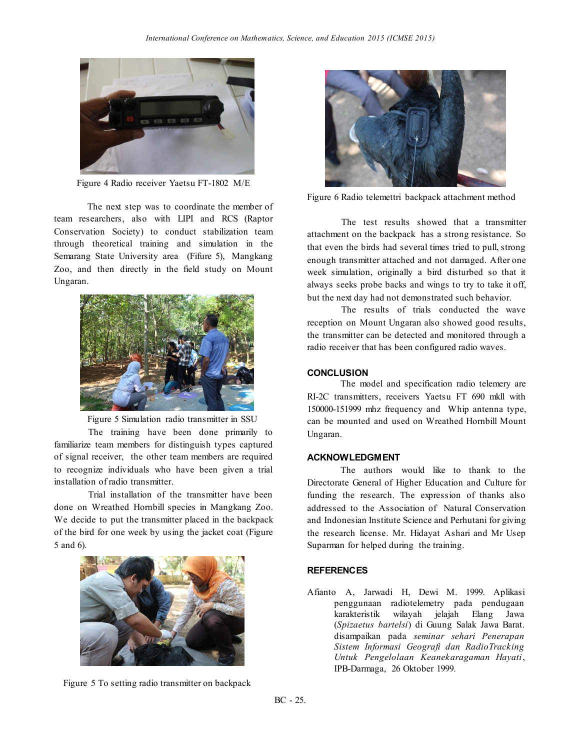

Figure 4 Radio receiver Yaetsu FT-1802 M/E

The next step was to coordinate the member of team researchers, also with LIPI and RCS (Raptor Conservation Society) to conduct stabilization team through theoretical training and simulation in the Semarang State University area (Fifure 5), Mangkang Zoo, and then directly in the field study on Mount Ungaran.



Figure 5 Simulation radio transmitter in SSU

The training have been done primarily to familiarize team members for distinguish types captured of signal receiver, the other team members are required to recognize individuals who have been given a trial installation of radio transmitter.

Trial installation of the transmitter have been done on Wreathed Hornbill species in Mangkang Zoo. We decide to put the transmitter placed in the backpack of the bird for one week by using the jacket coat (Figure 5 and 6).



Figure 5 To setting radio transmitter on backpack



Figure 6 Radio telemettri backpack attachment method

The test results showed that a transmitter attachment on the backpack has a strong resistance. So that even the birds had several times tried to pull, strong enough transmitter attached and not damaged. After one week simulation, originally a bird disturbed so that it always seeks probe backs and wings to try to take it off, but the next day had not demonstrated such behavior.

The results of trials conducted the wave reception on Mount Ungaran also showed good results, the transmitter can be detected and monitored through a radio receiver that has been configured radio waves.

### **CONCLUSION**

The model and specification radio telemery are RI-2C transmitters, receivers Yaetsu FT 690 mkll with 150000-151999 mhz frequency and Whip antenna type, can be mounted and used on Wreathed Hornbill Mount Ungaran.

# **ACKNOWLEDGMENT**

The authors would like to thank to the Directorate General of Higher Education and Culture for funding the research. The expression of thanks also addressed to the Association of Natural Conservation and Indonesian Institute Science and Perhutani for giving the research license. Mr. Hidayat Ashari and Mr Usep Suparman for helped during the training.

#### **REFERENCES**

Afianto A, Jarwadi H, Dewi M. 1999. Aplikasi penggunaan radiotelemetry pada pendugaan karakteristik wilayah jelajah Elang Jawa (*Spizaetus bartelsi*) di Guung Salak Jawa Barat. disampaikan pada *seminar sehari Penerapan Sistem Informasi Geografi dan RadioTracking Untuk Pengelolaan Keanekaragaman Hayati*, IPB-Darmaga, 26 Oktober 1999.